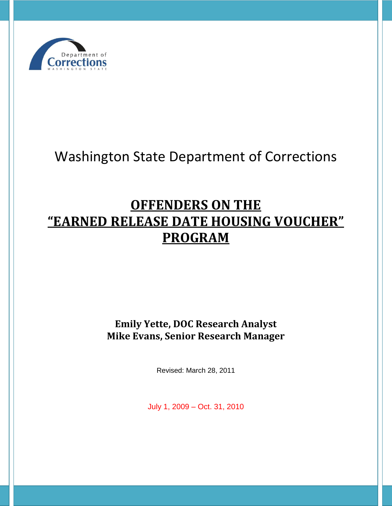

# Washington State Department of Corrections

# **OFFENDERS ON THE "EARNED RELEASE DATE HOUSING VOUCHER" PROGRAM**

**Emily Yette, DOC Research Analyst Mike Evans, Senior Research Manager**

Revised: March 28, 2011

July 1, 2009 – Oct. 31, 2010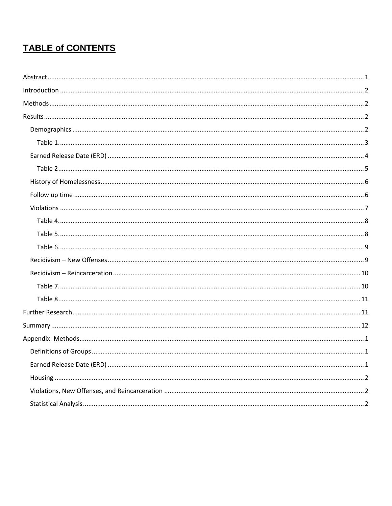## **TABLE of CONTENTS**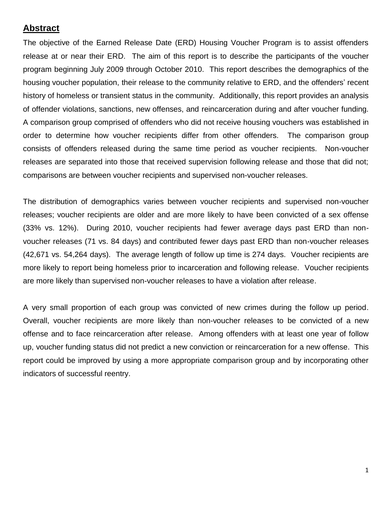## <span id="page-2-0"></span>**Abstract**

The objective of the Earned Release Date (ERD) Housing Voucher Program is to assist offenders release at or near their ERD. The aim of this report is to describe the participants of the voucher program beginning July 2009 through October 2010. This report describes the demographics of the housing voucher population, their release to the community relative to ERD, and the offenders' recent history of homeless or transient status in the community. Additionally, this report provides an analysis of offender violations, sanctions, new offenses, and reincarceration during and after voucher funding. A comparison group comprised of offenders who did not receive housing vouchers was established in order to determine how voucher recipients differ from other offenders. The comparison group consists of offenders released during the same time period as voucher recipients. Non-voucher releases are separated into those that received supervision following release and those that did not; comparisons are between voucher recipients and supervised non-voucher releases.

The distribution of demographics varies between voucher recipients and supervised non-voucher releases; voucher recipients are older and are more likely to have been convicted of a sex offense (33% vs. 12%). During 2010, voucher recipients had fewer average days past ERD than nonvoucher releases (71 vs. 84 days) and contributed fewer days past ERD than non-voucher releases (42,671 vs. 54,264 days). The average length of follow up time is 274 days. Voucher recipients are more likely to report being homeless prior to incarceration and following release. Voucher recipients are more likely than supervised non-voucher releases to have a violation after release.

A very small proportion of each group was convicted of new crimes during the follow up period. Overall, voucher recipients are more likely than non-voucher releases to be convicted of a new offense and to face reincarceration after release. Among offenders with at least one year of follow up, voucher funding status did not predict a new conviction or reincarceration for a new offense. This report could be improved by using a more appropriate comparison group and by incorporating other indicators of successful reentry.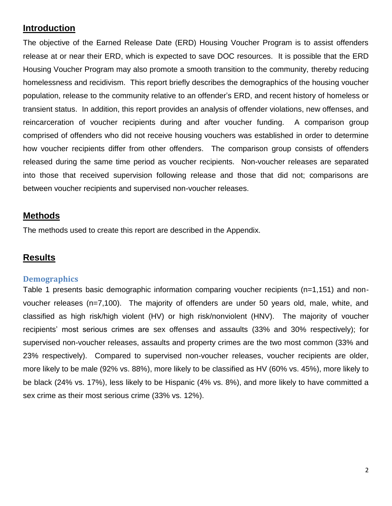## <span id="page-3-0"></span>**Introduction**

The objective of the Earned Release Date (ERD) Housing Voucher Program is to assist offenders release at or near their ERD, which is expected to save DOC resources. It is possible that the ERD Housing Voucher Program may also promote a smooth transition to the community, thereby reducing homelessness and recidivism. This report briefly describes the demographics of the housing voucher population, release to the community relative to an offender's ERD, and recent history of homeless or transient status. In addition, this report provides an analysis of offender violations, new offenses, and reincarceration of voucher recipients during and after voucher funding. A comparison group comprised of offenders who did not receive housing vouchers was established in order to determine how voucher recipients differ from other offenders. The comparison group consists of offenders released during the same time period as voucher recipients. Non-voucher releases are separated into those that received supervision following release and those that did not; comparisons are between voucher recipients and supervised non-voucher releases.

## <span id="page-3-1"></span>**Methods**

The methods used to create this report are described in the Appendix.

## <span id="page-3-2"></span>**Results**

#### <span id="page-3-3"></span>**Demographics**

Table 1 presents basic demographic information comparing voucher recipients (n=1,151) and nonvoucher releases (n=7,100). The majority of offenders are under 50 years old, male, white, and classified as high risk/high violent (HV) or high risk/nonviolent (HNV). The majority of voucher recipients' most serious crimes are sex offenses and assaults (33% and 30% respectively); for supervised non-voucher releases, assaults and property crimes are the two most common (33% and 23% respectively). Compared to supervised non-voucher releases, voucher recipients are older, more likely to be male (92% vs. 88%), more likely to be classified as HV (60% vs. 45%), more likely to be black (24% vs. 17%), less likely to be Hispanic (4% vs. 8%), and more likely to have committed a sex crime as their most serious crime (33% vs. 12%).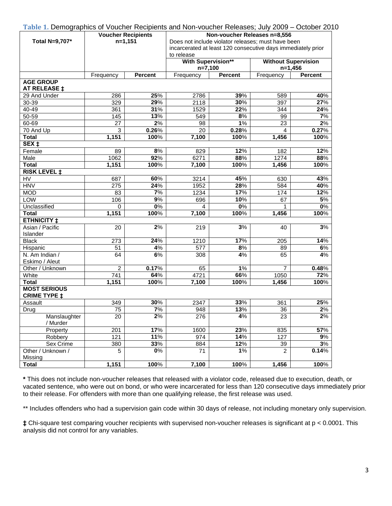<span id="page-4-0"></span>

| Table 1. Demographics of Voucher Recipients and Non-voucher Releases; July 2009 – October 2010 |                           |                  |                                                              |                |                                                    |                |  |  |
|------------------------------------------------------------------------------------------------|---------------------------|------------------|--------------------------------------------------------------|----------------|----------------------------------------------------|----------------|--|--|
|                                                                                                | <b>Voucher Recipients</b> |                  | Non-voucher Releases n=8,556                                 |                |                                                    |                |  |  |
| Total N=9,707*                                                                                 | $n=1,151$                 |                  |                                                              |                | Does not include violator releases; must have been |                |  |  |
|                                                                                                |                           |                  | incarcerated at least 120 consecutive days immediately prior |                |                                                    |                |  |  |
|                                                                                                |                           |                  | to release                                                   |                |                                                    |                |  |  |
|                                                                                                |                           |                  | <b>With Supervision**</b>                                    |                | <b>Without Supervision</b>                         |                |  |  |
|                                                                                                |                           |                  | $n=7,100$                                                    |                | $n=1,456$                                          |                |  |  |
|                                                                                                | Frequency                 | <b>Percent</b>   | Frequency                                                    | <b>Percent</b> | Frequency                                          | <b>Percent</b> |  |  |
| <b>AGE GROUP</b><br>AT RELEASE ‡                                                               |                           |                  |                                                              |                |                                                    |                |  |  |
| 29 And Under                                                                                   | 286                       | 25%              | 2786                                                         | 39%            | 589                                                | 40%            |  |  |
| 30-39                                                                                          | 329                       | 29%              | 2118                                                         | 30%            | 397                                                | 27%            |  |  |
| 40-49                                                                                          | 361                       | 31%              | 1529                                                         | 22%            | 344                                                | 24%            |  |  |
| 50-59                                                                                          | 145                       | 13%              | 549                                                          | 8%             | 99                                                 | 7%             |  |  |
| $60 - 69$                                                                                      | 27                        | 2%               | 98                                                           | 1%             | 23                                                 | 2%             |  |  |
| 70 And Up                                                                                      | 3                         | 0.26%            | 20                                                           | 0.28%          | 4                                                  | 0.27%          |  |  |
| <b>Total</b>                                                                                   | 1,151                     | 100%             | 7,100                                                        | 100%           | 1,456                                              | 100%           |  |  |
| SEX <sub>‡</sub>                                                                               |                           |                  |                                                              |                |                                                    |                |  |  |
| Female                                                                                         | 89                        | 8%               | 829                                                          | 12%            | 182                                                | 12%            |  |  |
| Male                                                                                           | 1062                      | 92%              | 6271                                                         | 88%            | 1274                                               | 88%            |  |  |
| <b>Total</b>                                                                                   | 1,151                     | 100%             | 7,100                                                        | 100%           | 1,456                                              | 100%           |  |  |
| <b>RISK LEVEL ‡</b>                                                                            |                           |                  |                                                              |                |                                                    |                |  |  |
| HV                                                                                             | 687                       | 60%              | 3214                                                         | 45%            | 630                                                | 43%            |  |  |
| <b>HNV</b>                                                                                     | 275                       | 24%              | 1952                                                         | 28%            | 584                                                | 40%            |  |  |
| <b>MOD</b>                                                                                     | 83                        | 7%               | 1234                                                         | 17%            | 174                                                | 12%            |  |  |
| LOW                                                                                            | 106                       | 9%               | 696                                                          | 10%            | 67                                                 | 5%             |  |  |
| Unclassified                                                                                   |                           | $\overline{0\%}$ | 4                                                            | $0\%$          | 1                                                  | $0\%$          |  |  |
|                                                                                                | 0                         |                  |                                                              |                |                                                    |                |  |  |
| <b>Total</b>                                                                                   | 1,151                     | 100%             | 7,100                                                        | 100%           | 1,456                                              | 100%           |  |  |
| <b>ETHNICITY ‡</b>                                                                             |                           |                  |                                                              |                |                                                    |                |  |  |
| Asian / Pacific<br>Islander                                                                    | 20                        | 2%               | 219                                                          | 3%             | 40                                                 | 3%             |  |  |
| <b>Black</b>                                                                                   | 273                       | 24%              | 1210                                                         | 17%            | 205                                                | 14%            |  |  |
| Hispanic                                                                                       | 51                        | 4%               | 577                                                          | 8%             | 89                                                 | 6%             |  |  |
| N. Am Indian /                                                                                 | 64                        | 6%               | 308                                                          | 4%             | 65                                                 | 4%             |  |  |
| Eskimo / Aleut                                                                                 |                           |                  |                                                              |                | $\overline{7}$                                     |                |  |  |
| Other / Unknown                                                                                | $\overline{2}$            | 0.17%            | 65                                                           | 1%             |                                                    | 0.48%          |  |  |
| White                                                                                          | 741                       | 64%              | 4721                                                         | 66%            | 1050                                               | 72%            |  |  |
| <b>Total</b>                                                                                   | 1,151                     | 100%             | 7,100                                                        | 100%           | 1,456                                              | 100%           |  |  |
| <b>MOST SERIOUS</b><br><b>CRIME TYPE ‡</b>                                                     |                           |                  |                                                              |                |                                                    |                |  |  |
| Assault                                                                                        | 349                       | 30%              | 2347                                                         | 33%            | 361                                                | 25%            |  |  |
| Drug                                                                                           | 75                        | $7\%$            | 948                                                          | 13%            | 36                                                 | $2\%$          |  |  |
| Manslaughter<br>/ Murder                                                                       | $\overline{20}$           | 2%               | $\frac{1}{276}$                                              | 4%             | $\overline{23}$                                    | 2%             |  |  |
| Property                                                                                       | 201                       | 17%              | 1600                                                         | 23%            | 835                                                | 57%            |  |  |
| Robbery                                                                                        | 121                       | 11%              | 974                                                          | 14%            | 127                                                | 9%             |  |  |
| Sex Crime                                                                                      | 380                       | 33%              | 884                                                          | 12%            | 39                                                 | 3%             |  |  |
| Other / Unknown /                                                                              | 5                         | $0\%$            | 71                                                           | 1%             | $\overline{2}$                                     | 0.14%          |  |  |
| Missing                                                                                        |                           |                  |                                                              |                |                                                    |                |  |  |
| <b>Total</b>                                                                                   | 1,151                     | 100%             | 7,100                                                        | 100%           | 1,456                                              | 100%           |  |  |
|                                                                                                |                           |                  |                                                              |                |                                                    |                |  |  |

**\*** This does not include non-voucher releases that released with a violator code, released due to execution, death, or vacated sentence, who were out on bond, or who were incarcerated for less than 120 consecutive days immediately prior to their release. For offenders with more than one qualifying release, the first release was used.

\*\* Includes offenders who had a supervision gain code within 30 days of release, not including monetary only supervision.

**‡** Chi-square test comparing voucher recipients with supervised non-voucher releases is significant at p < 0.0001. This analysis did not control for any variables.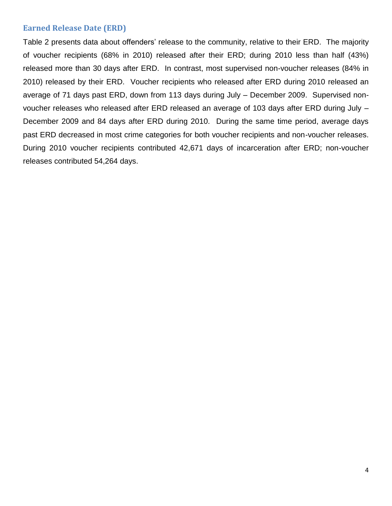#### <span id="page-5-0"></span>**Earned Release Date (ERD)**

Table 2 presents data about offenders' release to the community, relative to their ERD. The majority of voucher recipients (68% in 2010) released after their ERD; during 2010 less than half (43%) released more than 30 days after ERD. In contrast, most supervised non-voucher releases (84% in 2010) released by their ERD. Voucher recipients who released after ERD during 2010 released an average of 71 days past ERD, down from 113 days during July – December 2009. Supervised nonvoucher releases who released after ERD released an average of 103 days after ERD during July – December 2009 and 84 days after ERD during 2010. During the same time period, average days past ERD decreased in most crime categories for both voucher recipients and non-voucher releases. During 2010 voucher recipients contributed 42,671 days of incarceration after ERD; non-voucher releases contributed 54,264 days.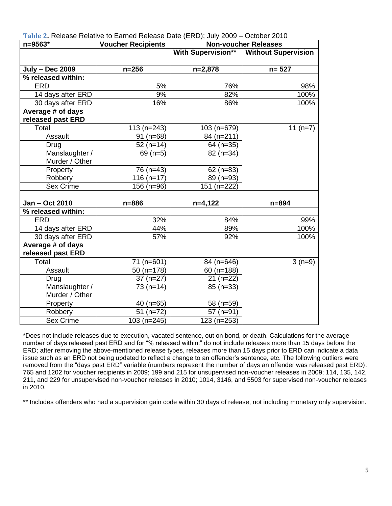| n=9563*                | <b>Voucher Recipients</b> | <b>Non-voucher Releases</b> |                            |  |  |
|------------------------|---------------------------|-----------------------------|----------------------------|--|--|
|                        |                           | <b>With Supervision**</b>   | <b>Without Supervision</b> |  |  |
|                        |                           |                             |                            |  |  |
| <b>July - Dec 2009</b> | $n = 256$                 | $n=2,878$                   | $n = 527$                  |  |  |
| % released within:     |                           |                             |                            |  |  |
| <b>ERD</b>             | 5%                        | 76%                         | 98%                        |  |  |
| 14 days after ERD      | 9%                        | 82%                         | 100%                       |  |  |
| 30 days after ERD      | 16%                       | 86%                         | 100%                       |  |  |
| Average # of days      |                           |                             |                            |  |  |
| released past ERD      |                           |                             |                            |  |  |
| Total                  | $113(n=243)$              | 103 (n=679)                 | 11 $(n=7)$                 |  |  |
| Assault                | $91$ (n=68)               | 84 (n=211)                  |                            |  |  |
| Drug                   | $52(n=14)$                | 64 (n=35)                   |                            |  |  |
| Manslaughter /         | 69 $(n=5)$                | $82(n=34)$                  |                            |  |  |
| Murder / Other         |                           |                             |                            |  |  |
| Property               | $76$ (n=43)               | $62$ (n=83)                 |                            |  |  |
| Robbery                | $116(n=17)$               | 89 (n=93)                   |                            |  |  |
| Sex Crime              | $156$ (n=96)              | 151 (n=222)                 |                            |  |  |
|                        |                           |                             |                            |  |  |
| Jan - Oct 2010         | $n = 886$                 | $n=4,122$                   | $n = 894$                  |  |  |
| % released within:     |                           |                             |                            |  |  |
| <b>ERD</b>             | 32%                       | 84%                         | 99%                        |  |  |
| 14 days after ERD      | 44%                       | 89%                         | 100%                       |  |  |
| 30 days after ERD      | 57%                       | 92%                         | 100%                       |  |  |
| Average # of days      |                           |                             |                            |  |  |
| released past ERD      |                           |                             |                            |  |  |
| Total                  | $71$ (n=601)              | 84 (n=646)                  | $3(n=9)$                   |  |  |
| Assault                | $50$ (n=178)              | $60$ (n=188)                |                            |  |  |
| Drug                   | $37(n=27)$                | $21(n=22)$                  |                            |  |  |
| Manslaughter /         | $73(n=14)$                | $85(n=33)$                  |                            |  |  |
| Murder / Other         |                           |                             |                            |  |  |
| Property               | 40 $(n=65)$               | 58 (n=59)                   |                            |  |  |
| Robbery                | $51$ (n=72)               | $57$ (n=91)                 |                            |  |  |
| <b>Sex Crime</b>       | 103 (n=245)               | 123 (n=253)                 |                            |  |  |

<span id="page-6-0"></span>**Table 2.** Release Relative to Earned Release Date (ERD); July 2009 – October 2010

\*Does not include releases due to execution, vacated sentence, out on bond, or death. Calculations for the average number of days released past ERD and for "% released within:" do not include releases more than 15 days before the ERD; after removing the above-mentioned release types, releases more than 15 days prior to ERD can indicate a data issue such as an ERD not being updated to reflect a change to an offender's sentence, etc. The following outliers were removed from the "days past ERD" variable (numbers represent the number of days an offender was released past ERD): 765 and 1202 for voucher recipients in 2009; 199 and 215 for unsupervised non-voucher releases in 2009; 114, 135, 142, 211, and 229 for unsupervised non-voucher releases in 2010; 1014, 3146, and 5503 for supervised non-voucher releases in 2010.

\*\* Includes offenders who had a supervision gain code within 30 days of release, not including monetary only supervision.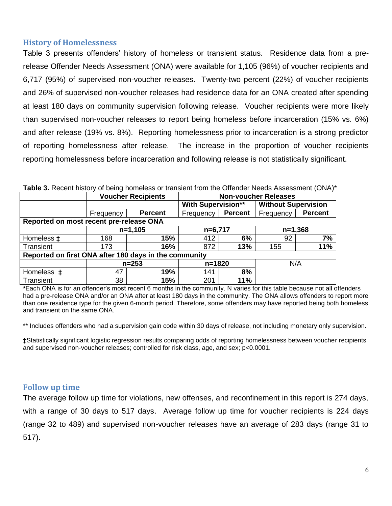#### <span id="page-7-0"></span>**History of Homelessness**

Table 3 presents offenders' history of homeless or transient status. Residence data from a prerelease Offender Needs Assessment (ONA) were available for 1,105 (96%) of voucher recipients and 6,717 (95%) of supervised non-voucher releases. Twenty-two percent (22%) of voucher recipients and 26% of supervised non-voucher releases had residence data for an ONA created after spending at least 180 days on community supervision following release. Voucher recipients were more likely than supervised non-voucher releases to report being homeless before incarceration (15% vs. 6%) and after release (19% vs. 8%). Reporting homelessness prior to incarceration is a strong predictor of reporting homelessness after release. The increase in the proportion of voucher recipients reporting homelessness before incarceration and following release is not statistically significant.

|                                                       |           | <b>Voucher Recipients</b> | <b>Non-voucher Releases</b> |                |                            |                |  |
|-------------------------------------------------------|-----------|---------------------------|-----------------------------|----------------|----------------------------|----------------|--|
|                                                       |           |                           | <b>With Supervision**</b>   |                | <b>Without Supervision</b> |                |  |
|                                                       | Frequency | <b>Percent</b>            | Frequency                   | <b>Percent</b> | Frequency                  | <b>Percent</b> |  |
| Reported on most recent pre-release ONA               |           |                           |                             |                |                            |                |  |
|                                                       | $n=1,105$ |                           | $n=6,717$                   |                | $n=1,368$                  |                |  |
| Homeless $\ddagger$                                   | 168       | 15%                       | 412                         | 6%             | 92                         | 7%             |  |
| Transient                                             | 173       | 16%                       | 872                         | 13%            | 155                        | 11%            |  |
| Reported on first ONA after 180 days in the community |           |                           |                             |                |                            |                |  |
|                                                       |           | $n = 253$                 |                             | $n = 1820$     |                            | N/A            |  |
| Homeless $\pm$                                        | 47        | 19%                       | 141                         | 8%             |                            |                |  |
| Transient                                             | 38        | 15%                       | 201                         | <b>11%</b>     |                            |                |  |

**Table 3.** Recent history of being homeless or transient from the Offender Needs Assessment (ONA)\*

**\***Each ONA is for an offender's most recent 6 months in the community. N varies for this table because not all offenders had a pre-release ONA and/or an ONA after at least 180 days in the community. The ONA allows offenders to report more than one residence type for the given 6-month period. Therefore, some offenders may have reported being both homeless and transient on the same ONA.

\*\* Includes offenders who had a supervision gain code within 30 days of release, not including monetary only supervision.

**‡**Statistically significant logistic regression results comparing odds of reporting homelessness between voucher recipients and supervised non-voucher releases; controlled for risk class, age, and sex; p<0.0001.

#### <span id="page-7-1"></span>**Follow up time**

The average follow up time for violations, new offenses, and reconfinement in this report is 274 days, with a range of 30 days to 517 days. Average follow up time for voucher recipients is 224 days (range 32 to 489) and supervised non-voucher releases have an average of 283 days (range 31 to 517).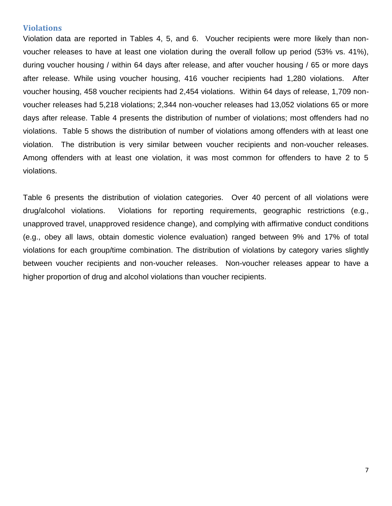#### <span id="page-8-0"></span>**Violations**

Violation data are reported in Tables 4, 5, and 6. Voucher recipients were more likely than nonvoucher releases to have at least one violation during the overall follow up period (53% vs. 41%), during voucher housing / within 64 days after release, and after voucher housing / 65 or more days after release. While using voucher housing, 416 voucher recipients had 1,280 violations. After voucher housing, 458 voucher recipients had 2,454 violations. Within 64 days of release, 1,709 nonvoucher releases had 5,218 violations; 2,344 non-voucher releases had 13,052 violations 65 or more days after release. Table 4 presents the distribution of number of violations; most offenders had no violations. Table 5 shows the distribution of number of violations among offenders with at least one violation. The distribution is very similar between voucher recipients and non-voucher releases. Among offenders with at least one violation, it was most common for offenders to have 2 to 5 violations.

Table 6 presents the distribution of violation categories. Over 40 percent of all violations were drug/alcohol violations. Violations for reporting requirements, geographic restrictions (e.g., unapproved travel, unapproved residence change), and complying with affirmative conduct conditions (e.g., obey all laws, obtain domestic violence evaluation) ranged between 9% and 17% of total violations for each group/time combination. The distribution of violations by category varies slightly between voucher recipients and non-voucher releases. Non-voucher releases appear to have a higher proportion of drug and alcohol violations than voucher recipients.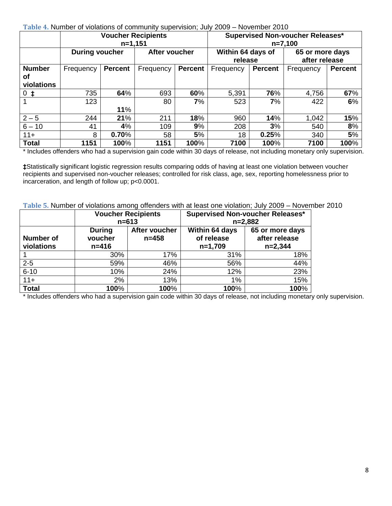<span id="page-9-0"></span>**Table 4.** Number of violations of community supervision; July 2009 – November 2010

|               |                       | <b>Voucher Recipients</b><br>$n=1,151$ |               |         | <b>Supervised Non-voucher Releases*</b><br>$n=7,100$ |                |                                  |                |
|---------------|-----------------------|----------------------------------------|---------------|---------|------------------------------------------------------|----------------|----------------------------------|----------------|
|               | <b>During voucher</b> |                                        | After voucher |         | Within 64 days of<br>release                         |                | 65 or more days<br>after release |                |
| <b>Number</b> | Frequency             | <b>Percent</b>                         | Frequency     | Percent | Frequency                                            | <b>Percent</b> | Frequency                        | <b>Percent</b> |
| οf            |                       |                                        |               |         |                                                      |                |                                  |                |
| violations    |                       |                                        |               |         |                                                      |                |                                  |                |
| $0$ $\sharp$  | 735                   | 64%                                    | 693           | 60%     | 5,391                                                | 76%            | 4,756                            | 67%            |
|               | 123                   |                                        | 80            | 7%      | 523                                                  | 7%             | 422                              | 6%             |
|               |                       | 11%                                    |               |         |                                                      |                |                                  |                |
| $2 - 5$       | 244                   | 21%                                    | 211           | 18%     | 960                                                  | 14%            | 1,042                            | 15%            |
| $6 - 10$      | 41                    | 4%                                     | 109           | 9%      | 208                                                  | 3%             | 540                              | 8%             |
| $11 +$        | 8                     | 0.70%                                  | 58            | 5%      | 18                                                   | 0.25%          | 340                              | 5%             |
| <b>Total</b>  | 1151                  | 100%                                   | 1151          | 100%    | 7100                                                 | 100%           | 7100                             | 100%           |

\* Includes offenders who had a supervision gain code within 30 days of release, not including monetary only supervision.

**‡**Statistically significant logistic regression results comparing odds of having at least one violation between voucher recipients and supervised non-voucher releases; controlled for risk class, age, sex, reporting homelessness prior to incarceration, and length of follow up; p<0.0001.

<span id="page-9-1"></span>**Table 5.** Number of violations among offenders with at least one violation; July 2009 – November 2010

|                                |                                       | <b>Voucher Recipients</b><br>$n = 613$ | <b>Supervised Non-voucher Releases*</b><br>$n=2,882$ |                                               |  |  |
|--------------------------------|---------------------------------------|----------------------------------------|------------------------------------------------------|-----------------------------------------------|--|--|
| <b>Number of</b><br>violations | <b>During</b><br>voucher<br>$n = 416$ | After voucher<br>$n = 458$             | Within 64 days<br>of release<br>$n=1,709$            | 65 or more days<br>after release<br>$n=2,344$ |  |  |
|                                | 30%                                   | 17%                                    | 31%                                                  | 18%                                           |  |  |
| $2 - 5$                        | 59%                                   | 46%                                    | 56%                                                  | 44%                                           |  |  |
| $6 - 10$                       | 10%                                   | 24%                                    | 12%                                                  | 23%                                           |  |  |
| $11+$                          | 2%                                    | 13%                                    | $1\%$                                                | 15%                                           |  |  |
| <b>Total</b>                   | 100%                                  | 100%                                   | 100%                                                 | 100%                                          |  |  |

\* Includes offenders who had a supervision gain code within 30 days of release, not including monetary only supervision.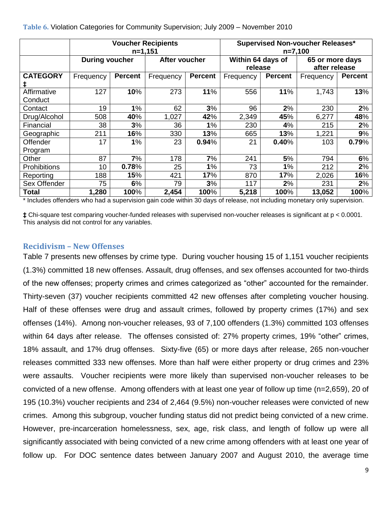|                        | <b>Voucher Recipients</b><br>$n=1,151$ |                |               |                | Supervised Non-voucher Releases*<br>$n=7,100$ |                |                                  |                |
|------------------------|----------------------------------------|----------------|---------------|----------------|-----------------------------------------------|----------------|----------------------------------|----------------|
|                        | <b>During voucher</b>                  |                | After voucher |                | Within 64 days of<br>release                  |                | 65 or more days<br>after release |                |
| <b>CATEGORY</b>        | Frequency                              | <b>Percent</b> | Frequency     | <b>Percent</b> | Frequency                                     | <b>Percent</b> | Frequency                        | <b>Percent</b> |
| Affirmative<br>Conduct | 127                                    | 10%            | 273           | 11%            | 556                                           | 11%            | 1,743                            | 13%            |
| Contact                | 19                                     | 1%             | 62            | 3%             | 96                                            | 2%             | 230                              | 2%             |
| Drug/Alcohol           | 508                                    | 40%            | 1,027         | 42%            | 2,349                                         | 45%            | 6,277                            | 48%            |
| Financial              | 38                                     | 3%             | 36            | 1%             | 230                                           | 4%             | 215                              | 2%             |
| Geographic             | 211                                    | 16%            | 330           | 13%            | 665                                           | 13%            | 1,221                            | 9%             |
| Offender<br>Program    | 17                                     | 1%             | 23            | 0.94%          | 21                                            | 0.40%          | 103                              | 0.79%          |
| Other                  | 87                                     | 7%             | 178           | 7%             | 241                                           | 5%             | 794                              | 6%             |
| Prohibitions           | 10                                     | 0.78%          | 25            | 1%             | 73                                            | 1%             | 212                              | 2%             |
| Reporting              | 188                                    | 15%            | 421           | 17%            | 870                                           | 17%            | 2,026                            | 16%            |
| Sex Offender           | 75                                     | 6%             | 79            | 3%             | 117                                           | 2%             | 231                              | 2%             |
| Total                  | 1,280                                  | 100%           | 2,454         | 100%           | 5,218                                         | 100%           | 13,052                           | 100%           |

<span id="page-10-0"></span>**Table 6.** Violation Categories for Community Supervision; July 2009 – November 2010

\* Includes offenders who had a supervision gain code within 30 days of release, not including monetary only supervision.

**‡** Chi-square test comparing voucher-funded releases with supervised non-voucher releases is significant at p < 0.0001. This analysis did not control for any variables.

#### <span id="page-10-1"></span>**Recidivism – New Offenses**

Table 7 presents new offenses by crime type. During voucher housing 15 of 1,151 voucher recipients (1.3%) committed 18 new offenses. Assault, drug offenses, and sex offenses accounted for two-thirds of the new offenses; property crimes and crimes categorized as "other" accounted for the remainder. Thirty-seven (37) voucher recipients committed 42 new offenses after completing voucher housing. Half of these offenses were drug and assault crimes, followed by property crimes (17%) and sex offenses (14%). Among non-voucher releases, 93 of 7,100 offenders (1.3%) committed 103 offenses within 64 days after release. The offenses consisted of: 27% property crimes, 19% "other" crimes, 18% assault, and 17% drug offenses. Sixty-five (65) or more days after release, 265 non-voucher releases committed 333 new offenses. More than half were either property or drug crimes and 23% were assaults. Voucher recipients were more likely than supervised non-voucher releases to be convicted of a new offense. Among offenders with at least one year of follow up time (n=2,659), 20 of 195 (10.3%) voucher recipients and 234 of 2,464 (9.5%) non-voucher releases were convicted of new crimes. Among this subgroup, voucher funding status did not predict being convicted of a new crime. However, pre-incarceration homelessness, sex, age, risk class, and length of follow up were all significantly associated with being convicted of a new crime among offenders with at least one year of follow up. For DOC sentence dates between January 2007 and August 2010, the average time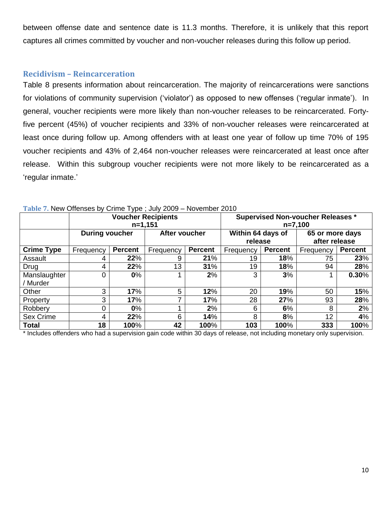between offense date and sentence date is 11.3 months. Therefore, it is unlikely that this report captures all crimes committed by voucher and non-voucher releases during this follow up period.

#### <span id="page-11-0"></span>**Recidivism – Reincarceration**

Table 8 presents information about reincarceration. The majority of reincarcerations were sanctions for violations of community supervision ('violator') as opposed to new offenses ('regular inmate'). In general, voucher recipients were more likely than non-voucher releases to be reincarcerated. Fortyfive percent (45%) of voucher recipients and 33% of non-voucher releases were reincarcerated at least once during follow up. Among offenders with at least one year of follow up time 70% of 195 voucher recipients and 43% of 2,464 non-voucher releases were reincarcerated at least once after release. Within this subgroup voucher recipients were not more likely to be reincarcerated as a 'regular inmate.'

|                   |                       | $n=1,151$      | <b>Voucher Recipients</b> |                | <b>Supervised Non-voucher Releases *</b><br>n=7,100 |                |                                  |                |
|-------------------|-----------------------|----------------|---------------------------|----------------|-----------------------------------------------------|----------------|----------------------------------|----------------|
|                   | <b>During voucher</b> |                | After voucher             |                | Within 64 days of<br>release                        |                | 65 or more days<br>after release |                |
| <b>Crime Type</b> | Frequency             | <b>Percent</b> | Frequency                 | <b>Percent</b> | Frequency                                           | <b>Percent</b> | Frequency                        | <b>Percent</b> |
| Assault           | 4                     | 22%            | 9                         | 21%            | 19                                                  | 18%            | 75                               | 23%            |
| Drug              | 4                     | 22%            | 13                        | 31%            | 19                                                  | 18%            | 94                               | 28%            |
| Manslaughter      | $\Omega$              | $0\%$          |                           | 2%             | 3                                                   | 3%             |                                  | 0.30%          |
| / Murder          |                       |                |                           |                |                                                     |                |                                  |                |
| Other             | 3                     | 17%            | 5                         | 12%            | 20                                                  | 19%            | 50                               | 15%            |
| Property          | 3                     | 17%            |                           | 17%            | 28                                                  | 27%            | 93                               | 28%            |
| Robbery           | $\Omega$              | $0\%$          |                           | 2%             | 6                                                   | 6%             | 8                                | 2%             |
| Sex Crime         | 4                     | 22%            | 6                         | 14%            | 8                                                   | 8%             | 12                               | 4%             |
| <b>Total</b>      | 18                    | 100%           | 42                        | 100%           | 103                                                 | 100%           | 333                              | 100%           |

<span id="page-11-1"></span>

| Table 7. New Offenses by Crime Type; July 2009 - November 2010 |  |  |  |  |  |  |  |
|----------------------------------------------------------------|--|--|--|--|--|--|--|
|----------------------------------------------------------------|--|--|--|--|--|--|--|

\* Includes offenders who had a supervision gain code within 30 days of release, not including monetary only supervision.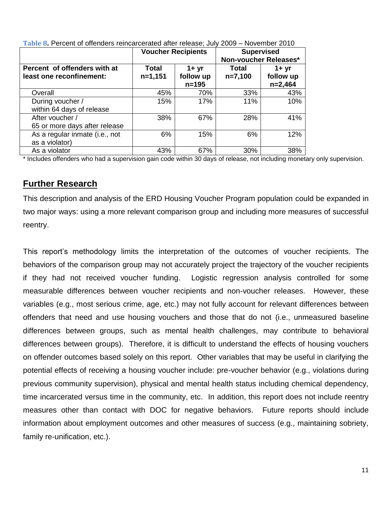|                                                          | <b>Voucher Recipients</b> |                                    | <b>Supervised</b><br>Non-voucher Releases* |                                    |  |
|----------------------------------------------------------|---------------------------|------------------------------------|--------------------------------------------|------------------------------------|--|
| Percent of offenders with at<br>least one reconfinement: | Total<br>$n=1,151$        | $1 + yr$<br>follow up<br>$n = 195$ | Total<br>$n=7,100$                         | $1 + yr$<br>follow up<br>$n=2,464$ |  |
| Overall                                                  | 45%                       | 70%                                | 33%                                        | 43%                                |  |
| During voucher /<br>within 64 days of release            | 15%                       | 17%                                | 11%                                        | 10%                                |  |
| After voucher /<br>65 or more days after release         | 38%                       | 67%                                | 28%                                        | 41%                                |  |
| As a regular inmate (i.e., not<br>as a violator)         | 6%                        | 15%                                | 6%                                         | 12%                                |  |
| As a violator                                            | 43%                       | 67%                                | 30%                                        | 38%                                |  |

<span id="page-12-0"></span>**Table 8.** Percent of offenders reincarcerated after release; July 2009 – November 2010

\* Includes offenders who had a supervision gain code within 30 days of release, not including monetary only supervision.

### <span id="page-12-1"></span>**Further Research**

This description and analysis of the ERD Housing Voucher Program population could be expanded in two major ways: using a more relevant comparison group and including more measures of successful reentry.

This report's methodology limits the interpretation of the outcomes of voucher recipients. The behaviors of the comparison group may not accurately project the trajectory of the voucher recipients if they had not received voucher funding. Logistic regression analysis controlled for some measurable differences between voucher recipients and non-voucher releases. However, these variables (e.g., most serious crime, age, etc.) may not fully account for relevant differences between offenders that need and use housing vouchers and those that do not (i.e., unmeasured baseline differences between groups, such as mental health challenges, may contribute to behavioral differences between groups). Therefore, it is difficult to understand the effects of housing vouchers on offender outcomes based solely on this report. Other variables that may be useful in clarifying the potential effects of receiving a housing voucher include: pre-voucher behavior (e.g., violations during previous community supervision), physical and mental health status including chemical dependency, time incarcerated versus time in the community, etc. In addition, this report does not include reentry measures other than contact with DOC for negative behaviors. Future reports should include information about employment outcomes and other measures of success (e.g., maintaining sobriety, family re-unification, etc.).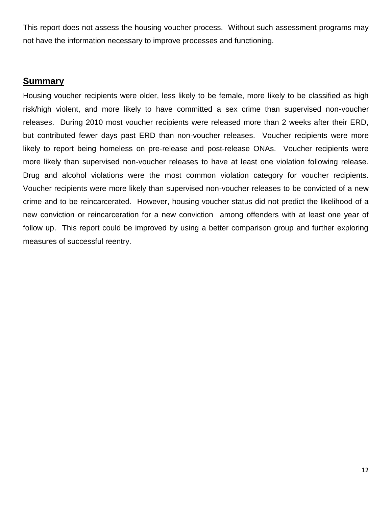This report does not assess the housing voucher process. Without such assessment programs may not have the information necessary to improve processes and functioning.

#### <span id="page-13-0"></span>**Summary**

Housing voucher recipients were older, less likely to be female, more likely to be classified as high risk/high violent, and more likely to have committed a sex crime than supervised non-voucher releases. During 2010 most voucher recipients were released more than 2 weeks after their ERD, but contributed fewer days past ERD than non-voucher releases. Voucher recipients were more likely to report being homeless on pre-release and post-release ONAs. Voucher recipients were more likely than supervised non-voucher releases to have at least one violation following release. Drug and alcohol violations were the most common violation category for voucher recipients. Voucher recipients were more likely than supervised non-voucher releases to be convicted of a new crime and to be reincarcerated. However, housing voucher status did not predict the likelihood of a new conviction or reincarceration for a new conviction among offenders with at least one year of follow up. This report could be improved by using a better comparison group and further exploring measures of successful reentry.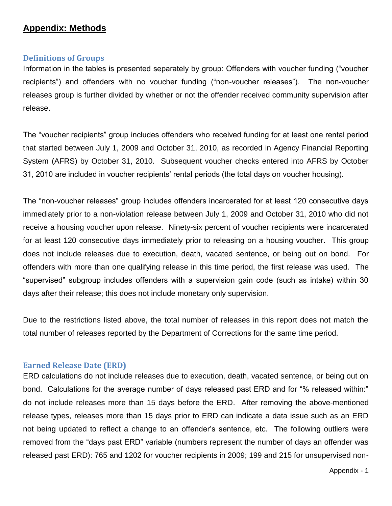## <span id="page-14-0"></span>**Appendix: Methods**

#### <span id="page-14-1"></span>**Definitions of Groups**

Information in the tables is presented separately by group: Offenders with voucher funding ("voucher recipients") and offenders with no voucher funding ("non-voucher releases"). The non-voucher releases group is further divided by whether or not the offender received community supervision after release.

The "voucher recipients" group includes offenders who received funding for at least one rental period that started between July 1, 2009 and October 31, 2010, as recorded in Agency Financial Reporting System (AFRS) by October 31, 2010. Subsequent voucher checks entered into AFRS by October 31, 2010 are included in voucher recipients' rental periods (the total days on voucher housing).

The "non-voucher releases" group includes offenders incarcerated for at least 120 consecutive days immediately prior to a non-violation release between July 1, 2009 and October 31, 2010 who did not receive a housing voucher upon release. Ninety-six percent of voucher recipients were incarcerated for at least 120 consecutive days immediately prior to releasing on a housing voucher. This group does not include releases due to execution, death, vacated sentence, or being out on bond. For offenders with more than one qualifying release in this time period, the first release was used. The "supervised" subgroup includes offenders with a supervision gain code (such as intake) within 30 days after their release; this does not include monetary only supervision.

Due to the restrictions listed above, the total number of releases in this report does not match the total number of releases reported by the Department of Corrections for the same time period.

#### <span id="page-14-2"></span>**Earned Release Date (ERD)**

ERD calculations do not include releases due to execution, death, vacated sentence, or being out on bond. Calculations for the average number of days released past ERD and for "% released within:" do not include releases more than 15 days before the ERD. After removing the above-mentioned release types, releases more than 15 days prior to ERD can indicate a data issue such as an ERD not being updated to reflect a change to an offender's sentence, etc. The following outliers were removed from the "days past ERD" variable (numbers represent the number of days an offender was released past ERD): 765 and 1202 for voucher recipients in 2009; 199 and 215 for unsupervised non-

Appendix - 1